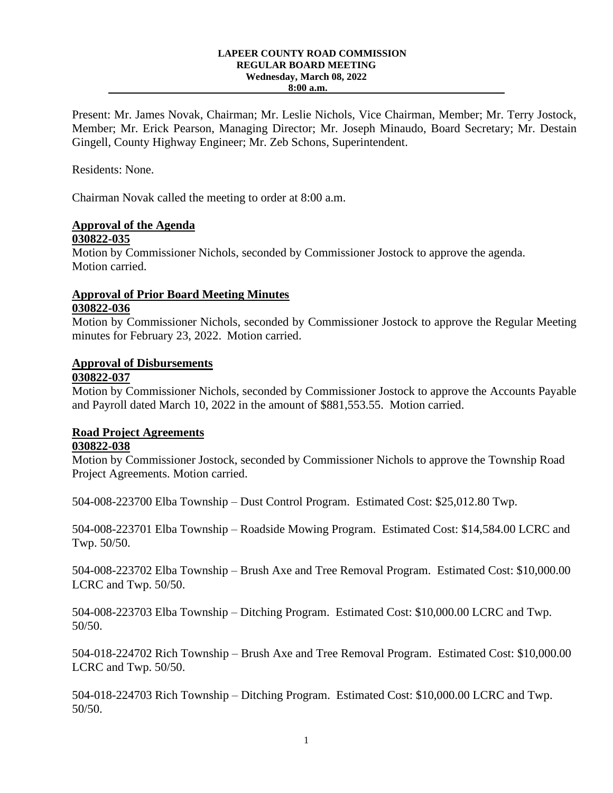#### **LAPEER COUNTY ROAD COMMISSION REGULAR BOARD MEETING Wednesday, March 08, 2022 8:00 a.m.**

Present: Mr. James Novak, Chairman; Mr. Leslie Nichols, Vice Chairman, Member; Mr. Terry Jostock, Member; Mr. Erick Pearson, Managing Director; Mr. Joseph Minaudo, Board Secretary; Mr. Destain Gingell, County Highway Engineer; Mr. Zeb Schons, Superintendent.

Residents: None.

Chairman Novak called the meeting to order at 8:00 a.m.

# **Approval of the Agenda**

### **030822-035**

Motion by Commissioner Nichols, seconded by Commissioner Jostock to approve the agenda. Motion carried.

### **Approval of Prior Board Meeting Minutes 030822-036**

Motion by Commissioner Nichols, seconded by Commissioner Jostock to approve the Regular Meeting minutes for February 23, 2022. Motion carried.

## **Approval of Disbursements**

### **030822-037**

Motion by Commissioner Nichols, seconded by Commissioner Jostock to approve the Accounts Payable and Payroll dated March 10, 2022 in the amount of \$881,553.55. Motion carried.

# **Road Project Agreements**

### **030822-038**

Motion by Commissioner Jostock, seconded by Commissioner Nichols to approve the Township Road Project Agreements. Motion carried.

504-008-223700 Elba Township – Dust Control Program. Estimated Cost: \$25,012.80 Twp.

504-008-223701 Elba Township – Roadside Mowing Program. Estimated Cost: \$14,584.00 LCRC and Twp. 50/50.

504-008-223702 Elba Township – Brush Axe and Tree Removal Program. Estimated Cost: \$10,000.00 LCRC and Twp. 50/50.

504-008-223703 Elba Township – Ditching Program. Estimated Cost: \$10,000.00 LCRC and Twp. 50/50.

504-018-224702 Rich Township – Brush Axe and Tree Removal Program. Estimated Cost: \$10,000.00 LCRC and Twp. 50/50.

504-018-224703 Rich Township – Ditching Program. Estimated Cost: \$10,000.00 LCRC and Twp. 50/50.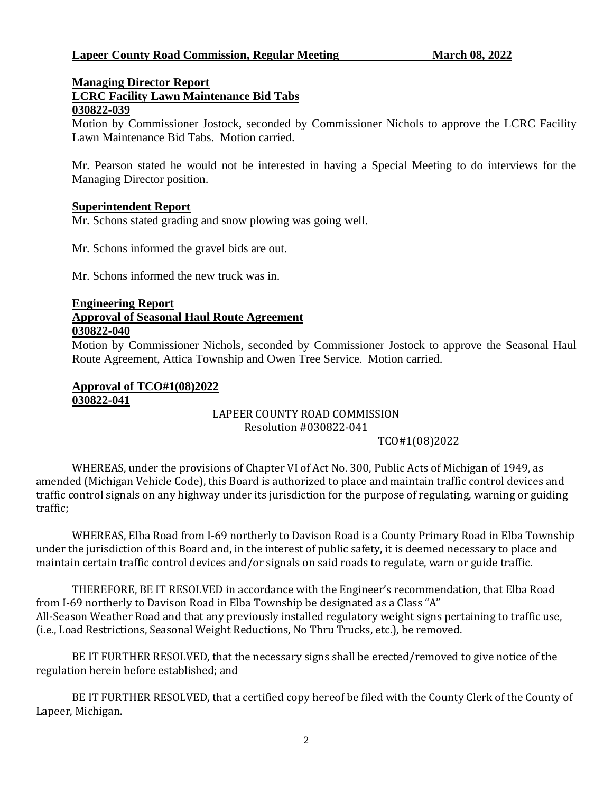### **Managing Director Report LCRC Facility Lawn Maintenance Bid Tabs 030822-039**

Motion by Commissioner Jostock, seconded by Commissioner Nichols to approve the LCRC Facility Lawn Maintenance Bid Tabs. Motion carried.

Mr. Pearson stated he would not be interested in having a Special Meeting to do interviews for the Managing Director position.

### **Superintendent Report**

Mr. Schons stated grading and snow plowing was going well.

Mr. Schons informed the gravel bids are out.

Mr. Schons informed the new truck was in.

#### **Engineering Report**

## **Approval of Seasonal Haul Route Agreement**

#### **030822-040**

Motion by Commissioner Nichols, seconded by Commissioner Jostock to approve the Seasonal Haul Route Agreement, Attica Township and Owen Tree Service. Motion carried.

### **Approval of TCO#1(08)2022 030822-041**

# LAPEER COUNTY ROAD COMMISSION Resolution #030822-041

### TCO#1(08)2022

WHEREAS, under the provisions of Chapter VI of Act No. 300, Public Acts of Michigan of 1949, as amended (Michigan Vehicle Code), this Board is authorized to place and maintain traffic control devices and traffic control signals on any highway under its jurisdiction for the purpose of regulating, warning or guiding traffic;

WHEREAS, Elba Road from I-69 northerly to Davison Road is a County Primary Road in Elba Township under the jurisdiction of this Board and, in the interest of public safety, it is deemed necessary to place and maintain certain traffic control devices and/or signals on said roads to regulate, warn or guide traffic.

THEREFORE, BE IT RESOLVED in accordance with the Engineer's recommendation, that Elba Road from I-69 northerly to Davison Road in Elba Township be designated as a Class "A" All-Season Weather Road and that any previously installed regulatory weight signs pertaining to traffic use, (i.e., Load Restrictions, Seasonal Weight Reductions, No Thru Trucks, etc.), be removed.

BE IT FURTHER RESOLVED, that the necessary signs shall be erected/removed to give notice of the regulation herein before established; and

BE IT FURTHER RESOLVED, that a certified copy hereof be filed with the County Clerk of the County of Lapeer, Michigan.